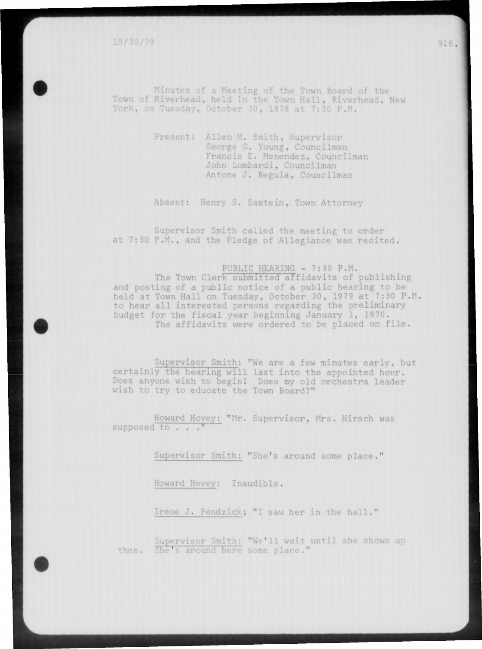Yor\* **.** Minu • River Meeting of the Town Board of the **^u,** ii**••' ' :n the Town Hall,** Riverhead, New 1y, October 30, 1979 at 7:30 P.M.

> Present: Allen M. Smith, Supervisor George G. Young, Councilman Francis E. Menendez, Councilman John Lombardi, Councilman Antone J. Regula, Councilman

Absent: Henry S. Saxtein, Town Attorney

Supervisor Smith called the meeting to order at 7:30 P.M., and the Pledge of Allegiance was recited.

# PUBLIC HEARING - 7:30 P.M.

The Town Clerk submitted affidavits of publishing and posting of a public notice of a public hearing to be held at Town Hall on Tuesday, October 30, 1979 at 7:30 P.M. to hear all interested persons regarding the preliminary budget for the fiscal year beginning January 1, 1970. The affidavits were ordered to be placed on file.

Supervisor Smith: "We are a few minutes early, but certainly the hearing will last into the appointed hour. Does anyone wish to begin? Does my old orchestra leader wish to try to educate the Town Board?"

Howard Hoyey: "Mr. Supervisor, Mrs. Hirsch was supposed to . . . "

Supervisor Smith: "She's around some place."

Howard Hovey: Inaudible.

Irene J. Pendzick; "I saw her in the hall."

Supervisor Smi then. She's around here some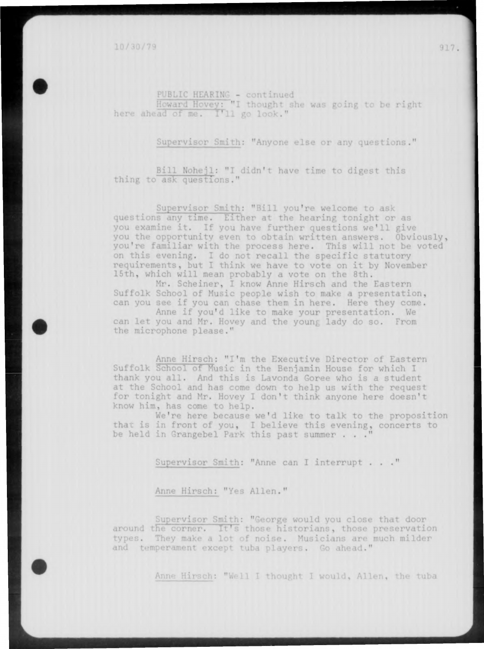10/30/79

PUBLIC HEARIN

,'ht

Supervisor Smith: "Anyone else or any questions."

Bill Nohejl: "I didn't have time to digest this thing to ask questions."

Supervisor Smith: "Bill you're welcome to ask questions any time. Either at the hearing tonight or as you examine it. If you have further questions we'll give you the opportunity even to obtain written answers. Obviously, you're familiar with the process here. This will not be voted on this evening. I do not recall the specific statutory requirements, but I think we have to vote on it by November 15th, which will mean probably a vote on the 8th.

Mr. Scheiner, I know Anne Hirsch and the Eastern Suffolk School of Music people wish to make a presentation, can you see if you can chase them in here. Here they come.

Anne if you'd like to make your presentation. We can let you and Mr. Hovey and the young lady do so. From the microphone please."

Anne Hirsch: "I'm the Executive Director of Eastern Suffolk School of Music in the Benjamin House for which I thank you all. And this is Lavonda Goree who is a student at the School and has come down to help us with the request for tonight and Mr. Hovey I don't think anyone here doesn't know him, has come to help.

We're here because we'd like to talk to the proposition that is in front of you, I believe this evening, concerts to be held in Grangebel Park this past summer . . .

Supervisor Smith: "Anne can I interrupt . . . "

Anne Hirsch: "Yes Allen."

apervisor Smith: "George would you close that door around the corner. It's those historians, those preservation types. They make a lot of noise. Musicians are much milder

Anne Hirsch: "Well I thought I would, Allen, the tuba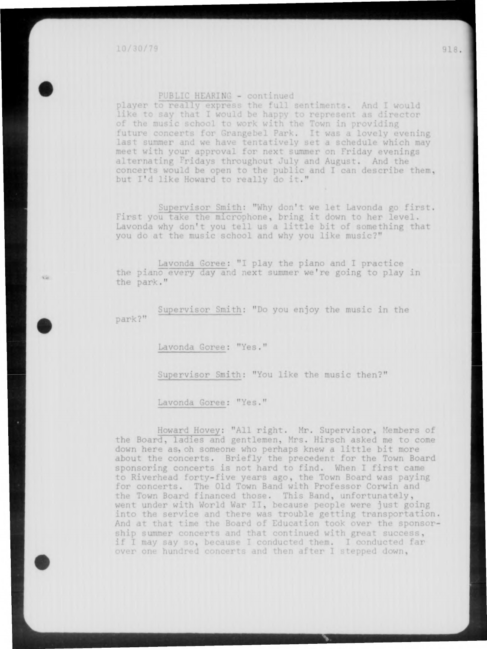V.

#### PUBLIC HEARING - continued

player to really express the full sentiments. And I would like to say that I would be happy to represent as director of the music school to work with the Town in providing future concerts for Grangebel Park. It was a lovely evening last summer and we have tentatively set a schedule which may meet with your approval for next summer on Friday evenings alternating Fridays throughout July and August. And the concerts would be open to the public and I can describe them, but I'd like Howard to really do it."

Supervisor Smith: "Why don't we let Lavonda go first, First you take the microphone, bring it down to her level. Lavonda why don't you tell us a little bit of something that you do at the music school and why you like music?"

Lavonda Goree: "I play the piano and I practice the piano every day and next summer we're going to play in the park."

park?" Supervisor Smith: "Do you enjoy the music in the

Lavonda Goree: "Yes."

Supervisor Smith: "You like the music then?"

Lavonda Goree: "Yes."

Howard Hovey: "All right. Mr. Supervisor, Members of the Board, ladies and gentlemen, Mrs. Hirsch asked me to come down here as, oh someone who perhaps knew a little bit more about the concerts. Briefly the precedent for the Town Board sponsoring concerts is not hard to find. When I first came to Riverhead forty-five years ago, the Town Board was paying for concerts. The Old Town Band with Professor Corwin and **the** Town Board financed those. This Band, unfortunately, went under with World War II, because people were just going into the service and there was trouble getting transportation, And at that time the Board of Education took over the sponsorship summer concerts and that continued with great success, if I may say so, because I conducted them. I conducted far over one hundred concerts and then after I stepped down,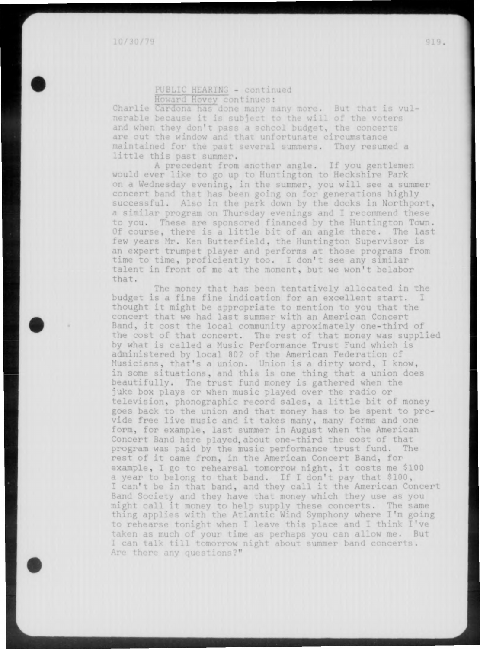# PUBLIC HEARING - continued <u>Ho</u>

Charlie Cardona has done many many more. But that is vulnerable because it is subject to the will of the voters and when they don't pass a school budget, the concerts are out the window and that unfortunate circumstance maintained for the past several summers. They resumed a little this past summer.

A precedent from another angle. If you gentlemen would ever like to go up to Huntington to Heckshire Park on a Wednesday evening, in the summer, you will see a summer concert band that has been going on for generations highly successful. Also in the park down by the docks in Northport, a similar program on Thursday evenings and I recommend these to you. These are sponsored financed by the Huntington Town. Of course, there is a little bit of an angle there. The last few years Mr. Ken Butterfield, the Huntington Supervisor is an expert trumpet player and performs at those programs from time to time, proficiently too. I don't see any similar talent in front of me at the moment, but we won't belabor that.

The money that has been tentatively allocated in the budget is a fine fine indication for an excellent start. I thought it might be appropriate to mention to you that the concert that we had last summer with an American Concert Band, it cost the local community aproximately one-third of the cost of that concert. The rest of that money was supplied by what is called a Music Performance Trust Fund which is administered by local 802 of the American Federation of Musicians, that's a union. Union is a dirty word, I know, in some situations, and this is one thing that a union does beautifully. The trust fund money is gathered when the juke box plays or when music played over the radio or television, phonographic record sales, a little bit of money goes back to the union and that money has to be spent to provide free live music and it takes many, many forms and one form, for example, last summer in August when the American Concert Band here played, about one-third the cost of that program was paid by the music performance trust fund. The rest of it came from, in the American Concert Band, for example, I go to rehearsal tomorrow night, it costs me \$100 a year to belong to that band. If I don't pay that \$100, I can't be in that band, and they call it the American Concert Band Society and they have that money which they use as you might call it money to help supply these concerts. The same thing applies with the Atlantic Wind Symphony where I'm going to rehearse tonight when I leave this place and I think I've taken as much of your time as perhaps you can allow me. But I can talk till tomorrow night about summer band concerts.<br>Are there any questions?"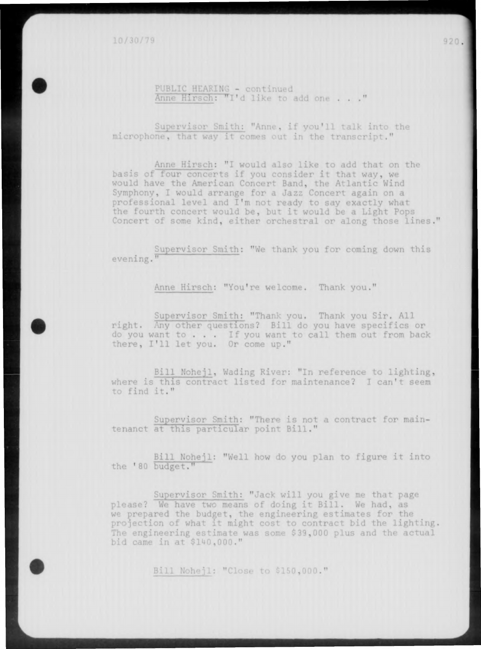10/30/79

# PUBLIC HEARING - continued Anne Hirsch: "I'd like to add one . . . "

Supervisor Smith: "Anne, if you'll talk into the microphone, that way it comes out in the transcript."

Anne Hirsch: "I would also like to add that on the basis of four concerts if you consider it that way, we would have the American Concert Band, the Atlantic Wind Symphony, I would arrange for a Jazz concert again on a professional level and I'm not ready to say exactly what the fourth concert would be, but it would be a Light Pops Concert of some kind, either orchestral or along those lines."

Supervisor Smith: "We thank you for coming down this evening."

Anne Hirsch: "You're welcome. Thank you."

Supervisor Smith: "Thank you. Thank you Sir. All right. Any other questions? Bill do you have specifics or do you want to . . . If you want to call them out from back there, I'll let you. Or come up."

Bill Nohejl, Wading River: "In reference to lighting, where is this contract listed for maintenance? I can't seem to find it."

Supervisor Smith: "There is not a contract for maintenanct at this particular point Bill."

Bill Nohejl: "Well how do you plan to figure it into the '80 budget."

Supervisor Smith: "Jack will you give me that page please? We have two means of doing it Bill. We had, as we prepared the budget, the engineering estimates for the projection of what it might cost to contract bid the lighting. The engineering estimate was some \$39,000 plus and the actual bid came in at \$140,000."

Bill Nohejl: "Close to \$150,000."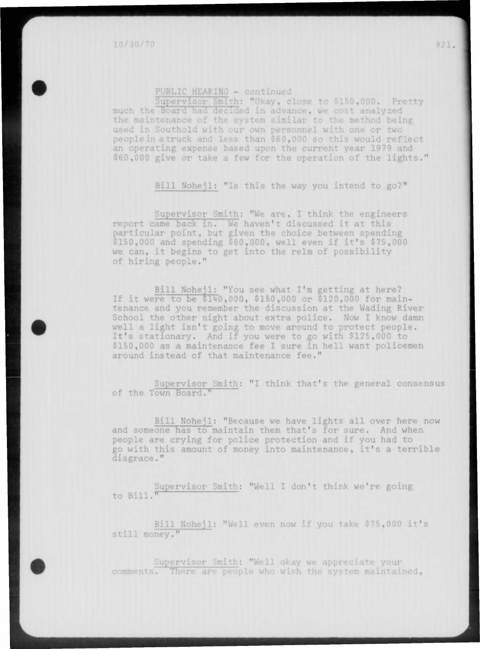### PUBLIC HEARING - continued

Supervisor Smith: "Okay, close to \$150,000. Pretty much the Board had decided in advance, we cost analyzed<br>the maintenance of the system similar to the method being used in Southold with our own personnel with one or two i in Southold with our own personnel people in a truck and less than \$60,000 so this would reflect an operating expense based upon the current year 1979 and \$60,000 give or take a few for the operation of the lights."

Bill Nohejl: "Is this the way you intend to go?"

Supervisor Smith: "We are, I think the engineers report came back in. We haven't discussed it at this particular point, but given the choice between spending \$150,000 and spending \$60,000, well even if it's \$75,000 we can, it begins to get into the relm of possibility of hiring people." **I**

Bill Nohejl; "You see what I'm getting at here? If it were to be \$140,000, \$150,000 or \$120,000 for maintenance and you remember the discussion at the Wading River School the other night about extra police. Now I know damn well a light isn't going to move around to protect people. It's stationary. And if you were to go with \$125,000 to \$150,000 as a maintenance fee I sure in hell want policemen around instead of that maintenance fee."

Supervisor Smith: "I think that's the general consensus of the Town Board."

Bill Nohejl: "Because we have lights all over here now and someone has to maintain them that's for sure. And when people are crying for police protection and if you had to go with this amount of money into maintenance, it's a terrible disgrace."

Supervisor Smith; "Well I don't think we're going to Bill."

Bill Nohejl: "Well even now if you take \$75,000 i still money."

comments. There are people who wish the syst Supervisor Smith: "Well okay we appreciate your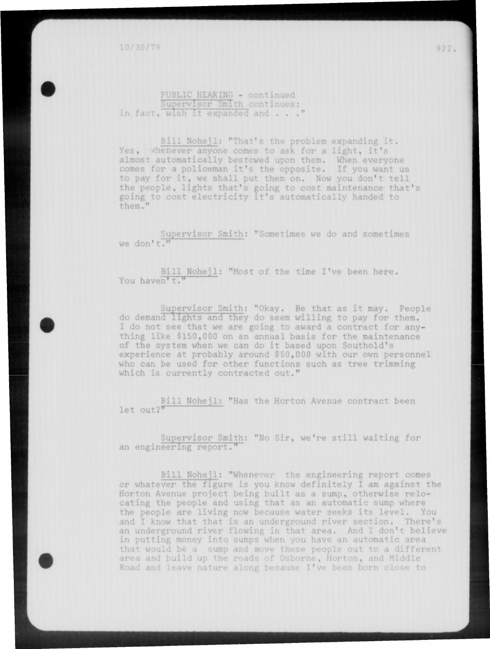PUBLIC HEARING - continued<br>Supervisor Smith continues: in fact, wish it expanded and . . ."

Bill Nohejl: "That's the problem expanding it. Yes, whenever anyone comes to ask for a light, it's almost automatically bestowed upon them. When everyone comes for a policeman it's the opposite. If you want us to pay for it, we shall put them on. Now you don't tell the people, lights that's poing to cost maintenance that's going to cost electricity it's automatically handed to them."

Supervisor Smith: "Sometimes we do and sometimes we don't."

You haven't." Bill Nohejl: "Most of the time I've been here.

Supervisor Smith: "Okay. Be that as it may. People do demand lights and they do seem willing to pay for them. I do not see that we are going to award a contract for anything like \$150,000 on an annual basis for the maintenance of the system when we can do it based upon Southold's experience at probably around \$50,000 with our own personnel who can be used for other functions such as tree trimming which is currently contracted out."

Bill Nohejl: "Has the Horton Avenue contract been let out?"

Supervisor Smith: "No Sir, we're still waiting for an engineering report."

Bill Noneji: "Whenever the engineering report comes or whatever the figure is you know definitely I am against the Horton Avenue project being built as a sump, otherwise relocating the people and using that as an automatic sump where the people are living now because water seeks its level. You and I know that that is an underground river section. There's an underground river flowing in that area. And I don't believe in putting money into sumps when you have an automatic area that would be a sump area and build up the and move these people out to a different Horton, and Middle